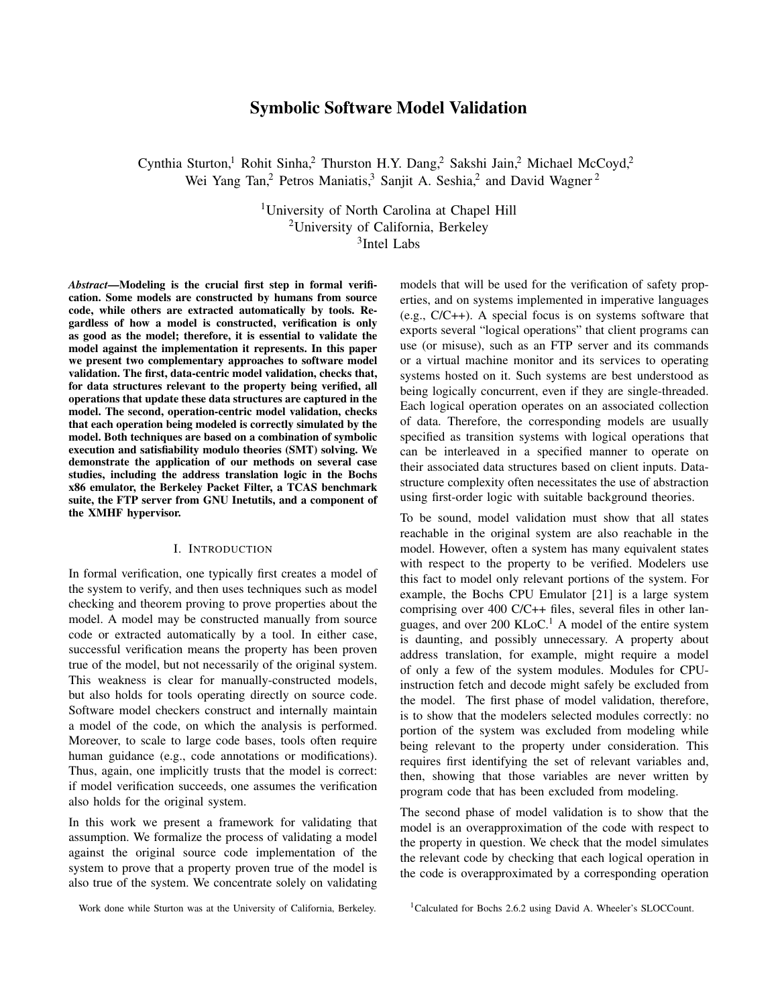# Symbolic Software Model Validation

Cynthia Sturton,<sup>1</sup> Rohit Sinha,<sup>2</sup> Thurston H.Y. Dang,<sup>2</sup> Sakshi Jain,<sup>2</sup> Michael McCoyd,<sup>2</sup> Wei Yang Tan,<sup>2</sup> Petros Maniatis,<sup>3</sup> Sanjit A. Seshia,<sup>2</sup> and David Wagner<sup>2</sup>

> <sup>1</sup>University of North Carolina at Chapel Hill <sup>2</sup>University of California, Berkeley 3 Intel Labs

*Abstract*—Modeling is the crucial first step in formal verification. Some models are constructed by humans from source code, while others are extracted automatically by tools. Regardless of how a model is constructed, verification is only as good as the model; therefore, it is essential to validate the model against the implementation it represents. In this paper we present two complementary approaches to software model validation. The first, data-centric model validation, checks that, for data structures relevant to the property being verified, all operations that update these data structures are captured in the model. The second, operation-centric model validation, checks that each operation being modeled is correctly simulated by the model. Both techniques are based on a combination of symbolic execution and satisfiability modulo theories (SMT) solving. We demonstrate the application of our methods on several case studies, including the address translation logic in the Bochs x86 emulator, the Berkeley Packet Filter, a TCAS benchmark suite, the FTP server from GNU Inetutils, and a component of the XMHF hypervisor.

### I. INTRODUCTION

In formal verification, one typically first creates a model of the system to verify, and then uses techniques such as model checking and theorem proving to prove properties about the model. A model may be constructed manually from source code or extracted automatically by a tool. In either case, successful verification means the property has been proven true of the model, but not necessarily of the original system. This weakness is clear for manually-constructed models, but also holds for tools operating directly on source code. Software model checkers construct and internally maintain a model of the code, on which the analysis is performed. Moreover, to scale to large code bases, tools often require human guidance (e.g., code annotations or modifications). Thus, again, one implicitly trusts that the model is correct: if model verification succeeds, one assumes the verification also holds for the original system.

In this work we present a framework for validating that assumption. We formalize the process of validating a model against the original source code implementation of the system to prove that a property proven true of the model is also true of the system. We concentrate solely on validating models that will be used for the verification of safety properties, and on systems implemented in imperative languages (e.g., C/C++). A special focus is on systems software that exports several "logical operations" that client programs can use (or misuse), such as an FTP server and its commands or a virtual machine monitor and its services to operating systems hosted on it. Such systems are best understood as being logically concurrent, even if they are single-threaded. Each logical operation operates on an associated collection of data. Therefore, the corresponding models are usually specified as transition systems with logical operations that can be interleaved in a specified manner to operate on their associated data structures based on client inputs. Datastructure complexity often necessitates the use of abstraction using first-order logic with suitable background theories.

To be sound, model validation must show that all states reachable in the original system are also reachable in the model. However, often a system has many equivalent states with respect to the property to be verified. Modelers use this fact to model only relevant portions of the system. For example, the Bochs CPU Emulator [21] is a large system comprising over 400 C/C++ files, several files in other languages, and over 200 KLoC.<sup>1</sup> A model of the entire system is daunting, and possibly unnecessary. A property about address translation, for example, might require a model of only a few of the system modules. Modules for CPUinstruction fetch and decode might safely be excluded from the model. The first phase of model validation, therefore, is to show that the modelers selected modules correctly: no portion of the system was excluded from modeling while being relevant to the property under consideration. This requires first identifying the set of relevant variables and, then, showing that those variables are never written by program code that has been excluded from modeling.

The second phase of model validation is to show that the model is an overapproximation of the code with respect to the property in question. We check that the model simulates the relevant code by checking that each logical operation in the code is overapproximated by a corresponding operation

Work done while Sturton was at the University of California, Berkeley.

<sup>&</sup>lt;sup>1</sup>Calculated for Bochs 2.6.2 using David A. Wheeler's SLOCCount.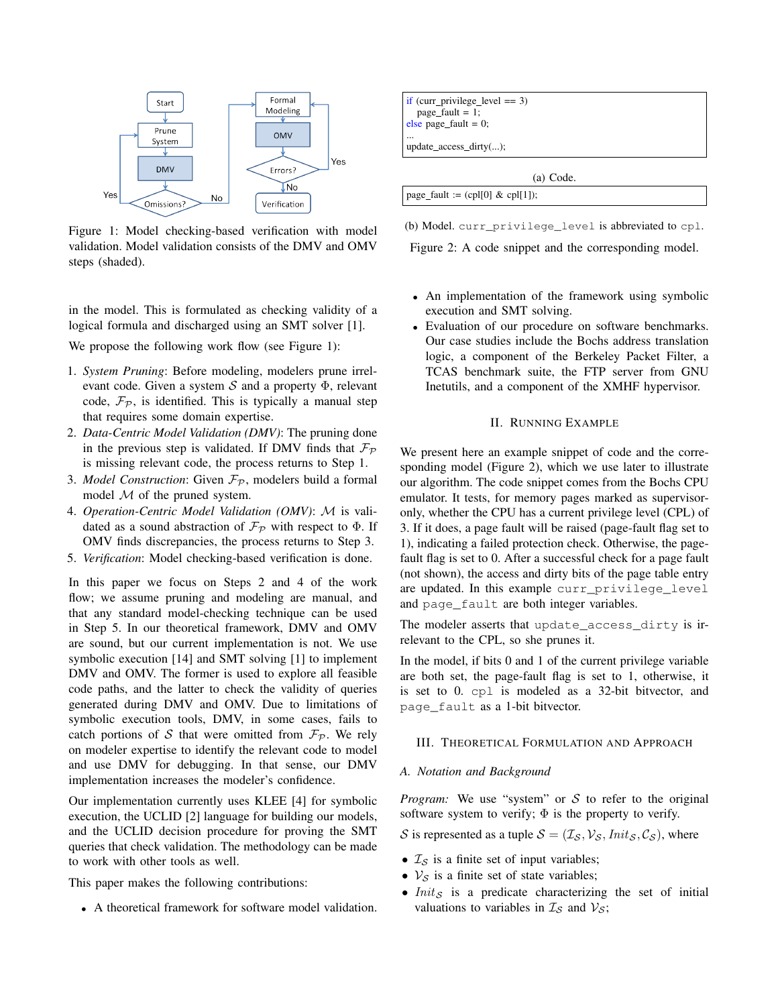

Figure 1: Model checking-based verification with model validation. Model validation consists of the DMV and OMV steps (shaded).

in the model. This is formulated as checking validity of a logical formula and discharged using an SMT solver [1].

We propose the following work flow (see Figure 1):

- 1. *System Pruning*: Before modeling, modelers prune irrelevant code. Given a system  $S$  and a property  $\Phi$ , relevant code,  $\mathcal{F}_{\mathcal{P}}$ , is identified. This is typically a manual step that requires some domain expertise.
- 2. *Data-Centric Model Validation (DMV)*: The pruning done in the previous step is validated. If DMV finds that  $\mathcal{F}_{\mathcal{P}}$ is missing relevant code, the process returns to Step 1.
- 3. *Model Construction*: Given  $\mathcal{F}_{\mathcal{P}}$ , modelers build a formal model  $M$  of the pruned system.
- 4. *Operation-Centric Model Validation (OMV)*: M is validated as a sound abstraction of  $\mathcal{F}_{\mathcal{P}}$  with respect to  $\Phi$ . If OMV finds discrepancies, the process returns to Step 3.
- 5. *Verification*: Model checking-based verification is done.

In this paper we focus on Steps 2 and 4 of the work flow; we assume pruning and modeling are manual, and that any standard model-checking technique can be used in Step 5. In our theoretical framework, DMV and OMV are sound, but our current implementation is not. We use symbolic execution [14] and SMT solving [1] to implement DMV and OMV. The former is used to explore all feasible code paths, and the latter to check the validity of queries generated during DMV and OMV. Due to limitations of symbolic execution tools, DMV, in some cases, fails to catch portions of S that were omitted from  $\mathcal{F}_{\mathcal{P}}$ . We rely on modeler expertise to identify the relevant code to model and use DMV for debugging. In that sense, our DMV implementation increases the modeler's confidence.

Our implementation currently uses KLEE [4] for symbolic execution, the UCLID [2] language for building our models, and the UCLID decision procedure for proving the SMT queries that check validation. The methodology can be made to work with other tools as well.

This paper makes the following contributions:

• A theoretical framework for software model validation.



update\_access\_dirty(...);

(a) Code.

| page_fault := (cpl[0] & cpl[1]); |  |  |
|----------------------------------|--|--|
|----------------------------------|--|--|

(b) Model. curr\_privilege\_level is abbreviated to cpl.

Figure 2: A code snippet and the corresponding model.

- An implementation of the framework using symbolic execution and SMT solving.
- Evaluation of our procedure on software benchmarks. Our case studies include the Bochs address translation logic, a component of the Berkeley Packet Filter, a TCAS benchmark suite, the FTP server from GNU Inetutils, and a component of the XMHF hypervisor.

## II. RUNNING EXAMPLE

We present here an example snippet of code and the corresponding model (Figure 2), which we use later to illustrate our algorithm. The code snippet comes from the Bochs CPU emulator. It tests, for memory pages marked as supervisoronly, whether the CPU has a current privilege level (CPL) of 3. If it does, a page fault will be raised (page-fault flag set to 1), indicating a failed protection check. Otherwise, the pagefault flag is set to 0. After a successful check for a page fault (not shown), the access and dirty bits of the page table entry are updated. In this example curr privilege level and page\_fault are both integer variables.

The modeler asserts that update\_access\_dirty is irrelevant to the CPL, so she prunes it.

In the model, if bits 0 and 1 of the current privilege variable are both set, the page-fault flag is set to 1, otherwise, it is set to 0. cpl is modeled as a 32-bit bitvector, and page\_fault as a 1-bit bitvector.

### III. THEORETICAL FORMULATION AND APPROACH

## *A. Notation and Background*

*Program:* We use "system" or S to refer to the original software system to verify;  $\Phi$  is the property to verify.

S is represented as a tuple  $S = (\mathcal{I}_S, \mathcal{V}_S, \text{Init}_S, \mathcal{C}_S)$ , where

- $\mathcal{I}_\mathcal{S}$  is a finite set of input variables;
- $V_S$  is a finite set of state variables;
- $Init_S$  is a predicate characterizing the set of initial valuations to variables in  $\mathcal{I}_\mathcal{S}$  and  $\mathcal{V}_\mathcal{S}$ ;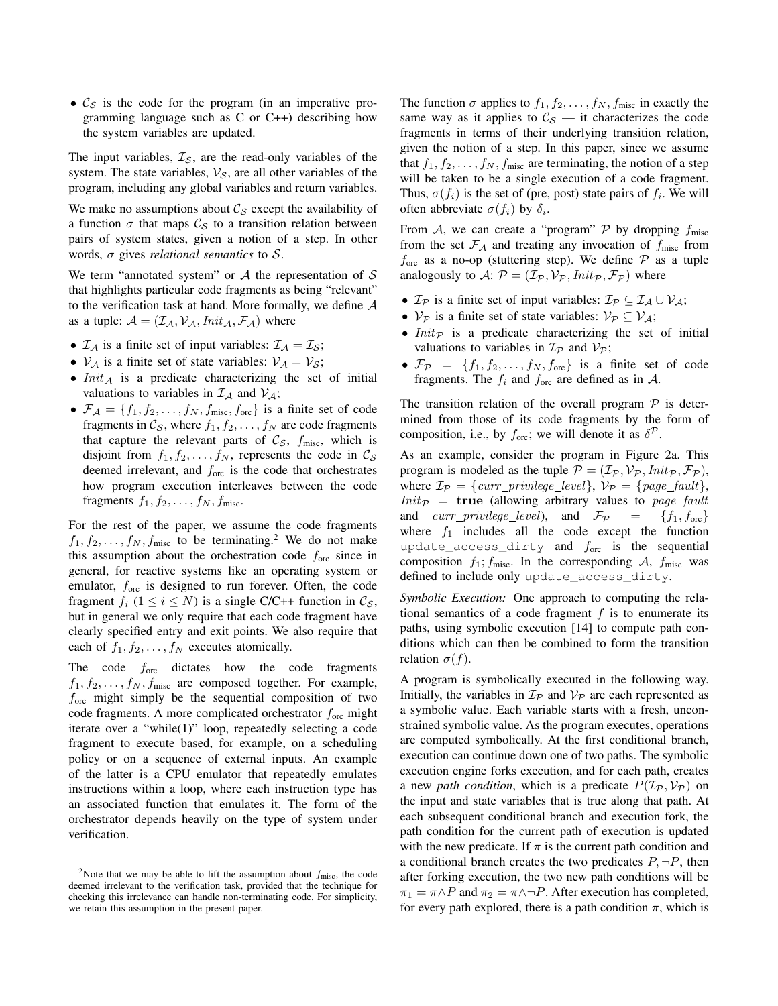•  $\mathcal{C}_{\mathcal{S}}$  is the code for the program (in an imperative programming language such as C or C++) describing how the system variables are updated.

The input variables,  $\mathcal{I}_\mathcal{S}$ , are the read-only variables of the system. The state variables,  $V_{\mathcal{S}}$ , are all other variables of the program, including any global variables and return variables.

We make no assumptions about  $C_S$  except the availability of a function  $\sigma$  that maps  $\mathcal{C}_{\mathcal{S}}$  to a transition relation between pairs of system states, given a notion of a step. In other words, σ gives *relational semantics* to S.

We term "annotated system" or  $A$  the representation of  $S$ that highlights particular code fragments as being "relevant" to the verification task at hand. More formally, we define  $A$ as a tuple:  $A = (\mathcal{I}_A, \mathcal{V}_A, \text{Init}_A, \mathcal{F}_A)$  where

- $\mathcal{I}_{\mathcal{A}}$  is a finite set of input variables:  $\mathcal{I}_{\mathcal{A}} = \mathcal{I}_{\mathcal{S}}$ ;
- $V_A$  is a finite set of state variables:  $V_A = V_S$ ;
- $Init_A$  is a predicate characterizing the set of initial valuations to variables in  $\mathcal{I}_A$  and  $\mathcal{V}_A$ ;
- $\mathcal{F}_\mathcal{A} = \{f_1, f_2, \ldots, f_N, f_{\text{misc}}, f_{\text{orc}}\}$  is a finite set of code fragments in  $\mathcal{C}_{\mathcal{S}}$ , where  $f_1, f_2, \ldots, f_N$  are code fragments that capture the relevant parts of  $C_{\mathcal{S}}$ ,  $f_{\text{misc}}$ , which is disjoint from  $f_1, f_2, \ldots, f_N$ , represents the code in  $\mathcal{C}_{\mathcal{S}}$ deemed irrelevant, and  $f_{\text{orc}}$  is the code that orchestrates how program execution interleaves between the code fragments  $f_1, f_2, \ldots, f_N, f_{\text{misc}}$ .

For the rest of the paper, we assume the code fragments  $f_1, f_2, \ldots, f_N, f_{\text{misc}}$  to be terminating.<sup>2</sup> We do not make this assumption about the orchestration code  $f_{\text{orc}}$  since in general, for reactive systems like an operating system or emulator,  $f_{\text{orc}}$  is designed to run forever. Often, the code fragment  $f_i$   $(1 \le i \le N)$  is a single C/C++ function in  $\mathcal{C}_{\mathcal{S}}$ , but in general we only require that each code fragment have clearly specified entry and exit points. We also require that each of  $f_1, f_2, \ldots, f_N$  executes atomically.

The code  $f_{\text{orc}}$  dictates how the code fragments  $f_1, f_2, \ldots, f_N, f_{\text{misc}}$  are composed together. For example,  $f_{\text{orc}}$  might simply be the sequential composition of two code fragments. A more complicated orchestrator  $f_{\text{orc}}$  might iterate over a "while(1)" loop, repeatedly selecting a code fragment to execute based, for example, on a scheduling policy or on a sequence of external inputs. An example of the latter is a CPU emulator that repeatedly emulates instructions within a loop, where each instruction type has an associated function that emulates it. The form of the orchestrator depends heavily on the type of system under verification.

The function  $\sigma$  applies to  $f_1, f_2, \ldots, f_N, f_{\text{misc}}$  in exactly the same way as it applies to  $\mathcal{C}_{\mathcal{S}}$  — it characterizes the code fragments in terms of their underlying transition relation, given the notion of a step. In this paper, since we assume that  $f_1, f_2, \ldots, f_N, f_{\text{misc}}$  are terminating, the notion of a step will be taken to be a single execution of a code fragment. Thus,  $\sigma(f_i)$  is the set of (pre, post) state pairs of  $f_i$ . We will often abbreviate  $\sigma(f_i)$  by  $\delta_i$ .

From A, we can create a "program"  $P$  by dropping  $f_{\text{misc}}$ from the set  $\mathcal{F}_{\mathcal{A}}$  and treating any invocation of  $f_{\text{misc}}$  from  $f_{\text{orc}}$  as a no-op (stuttering step). We define  $P$  as a tuple analogously to A:  $P = (\mathcal{I}_p, \mathcal{V}_p, \text{Init}_p, \mathcal{F}_p)$  where

- $\mathcal{I}_{\mathcal{P}}$  is a finite set of input variables:  $\mathcal{I}_{\mathcal{P}} \subseteq \mathcal{I}_{\mathcal{A}} \cup \mathcal{V}_{\mathcal{A}}$ ;
- $V_P$  is a finite set of state variables:  $V_P \subseteq V_A$ ;
- $Init_{\mathcal{P}}$  is a predicate characterizing the set of initial valuations to variables in  $\mathcal{I}_{\mathcal{P}}$  and  $\mathcal{V}_{\mathcal{P}}$ ;
- $\mathcal{F}_{\mathcal{P}} = \{f_1, f_2, \dots, f_N, f_{\text{orc}}\}$  is a finite set of code fragments. The  $f_i$  and  $f_{\text{orc}}$  are defined as in A.

The transition relation of the overall program  $P$  is determined from those of its code fragments by the form of composition, i.e., by  $f_{\text{orc}}$ ; we will denote it as  $\delta^{\mathcal{P}}$ .

As an example, consider the program in Figure 2a. This program is modeled as the tuple  $\mathcal{P} = (\mathcal{I}_{\mathcal{P}}, \mathcal{V}_{\mathcal{P}},Init_{\mathcal{P}}, \mathcal{F}_{\mathcal{P}}),$ where  $\mathcal{I}_{\mathcal{P}} = \{curr\_privilege\_level\}, \mathcal{V}_{\mathcal{P}} = \{page\_fault\},\$  $Init_{\mathcal{P}}$  = true (allowing arbitrary values to page fault and  $curr\_privilege\_level$ , and  $\mathcal{F}_{\mathcal{P}}$  =  $\{f_1, f_{\text{orc}}\}$ where  $f_1$  includes all the code except the function update\_access\_dirty and  $f_{\text{orc}}$  is the sequential composition  $f_1$ ;  $f_{\text{misc}}$ . In the corresponding A,  $f_{\text{misc}}$  was defined to include only update\_access\_dirty.

*Symbolic Execution:* One approach to computing the relational semantics of a code fragment  $f$  is to enumerate its paths, using symbolic execution [14] to compute path conditions which can then be combined to form the transition relation  $\sigma(f)$ .

A program is symbolically executed in the following way. Initially, the variables in  $\mathcal{I}_P$  and  $\mathcal{V}_P$  are each represented as a symbolic value. Each variable starts with a fresh, unconstrained symbolic value. As the program executes, operations are computed symbolically. At the first conditional branch, execution can continue down one of two paths. The symbolic execution engine forks execution, and for each path, creates a new *path condition*, which is a predicate  $P(\mathcal{I}_P, \mathcal{V}_P)$  on the input and state variables that is true along that path. At each subsequent conditional branch and execution fork, the path condition for the current path of execution is updated with the new predicate. If  $\pi$  is the current path condition and a conditional branch creates the two predicates  $P, \neg P$ , then after forking execution, the two new path conditions will be  $\pi_1 = \pi \wedge P$  and  $\pi_2 = \pi \wedge \neg P$ . After execution has completed, for every path explored, there is a path condition  $\pi$ , which is

<sup>&</sup>lt;sup>2</sup>Note that we may be able to lift the assumption about  $f_{\text{misc}}$ , the code deemed irrelevant to the verification task, provided that the technique for checking this irrelevance can handle non-terminating code. For simplicity, we retain this assumption in the present paper.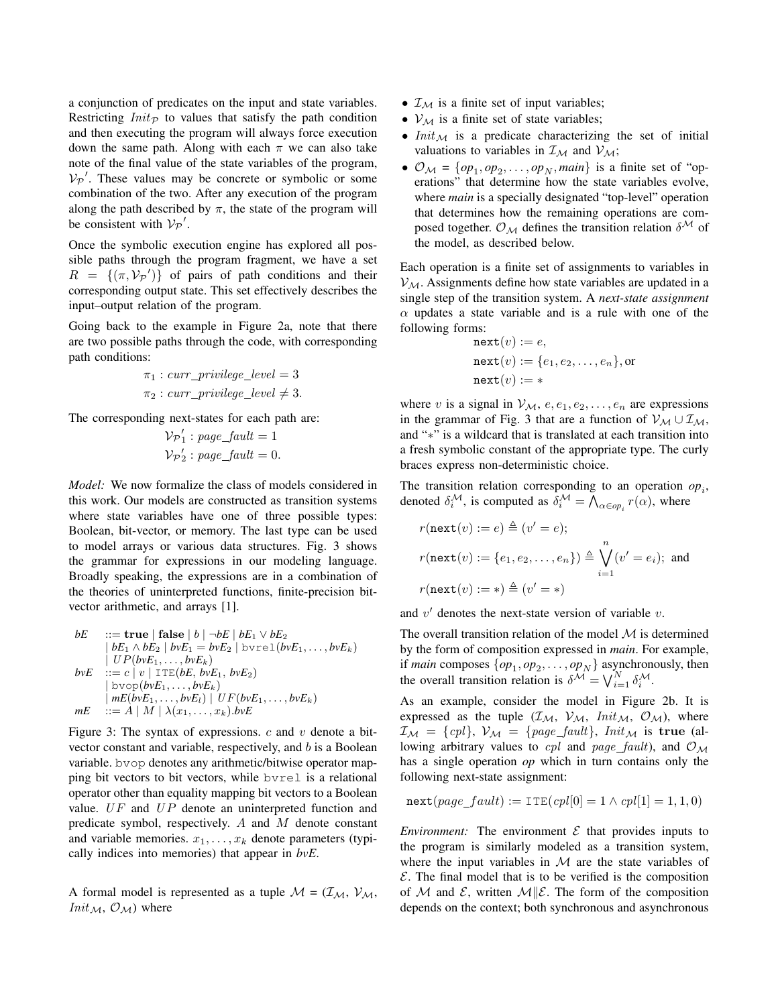a conjunction of predicates on the input and state variables. Restricting  $Init_{\mathcal{P}}$  to values that satisfy the path condition and then executing the program will always force execution down the same path. Along with each  $\pi$  we can also take note of the final value of the state variables of the program,  $V_P'$ . These values may be concrete or symbolic or some combination of the two. After any execution of the program along the path described by  $\pi$ , the state of the program will be consistent with  $V_P'$ .

Once the symbolic execution engine has explored all possible paths through the program fragment, we have a set  $R = \{(\pi, V_P) \}$  of pairs of path conditions and their corresponding output state. This set effectively describes the input–output relation of the program.

Going back to the example in Figure 2a, note that there are two possible paths through the code, with corresponding path conditions:

$$
\pi_1: curr\_privilege\_level = 3
$$
  

$$
\pi_2: curr\_privilege\_level \neq 3.
$$

The corresponding next-states for each path are:

$$
\mathcal{V}_{\mathcal{P}}'_{1} : page\_fault = 1
$$
  

$$
\mathcal{V}_{\mathcal{P}}'_{2} : page\_fault = 0.
$$

*Model:* We now formalize the class of models considered in this work. Our models are constructed as transition systems where state variables have one of three possible types: Boolean, bit-vector, or memory. The last type can be used to model arrays or various data structures. Fig. 3 shows the grammar for expressions in our modeling language. Broadly speaking, the expressions are in a combination of the theories of uninterpreted functions, finite-precision bitvector arithmetic, and arrays [1].

$$
bE \quad ::= \text{true} \mid \text{false} \mid b \mid \neg bE \mid bE_1 \lor bE_2
$$
\n
$$
\mid bE_1 \land bE_2 \mid bvE_1 = bvE_2 \mid \text{bvre1}(bvE_1, \dots, bvE_k)
$$
\n
$$
\mid UP(bvE_1, \dots, bvE_k)
$$
\n
$$
bvE \quad ::= c \mid v \mid \text{ITE}(bE, bvE_1, bvE_2)
$$
\n
$$
\mid \text{bvop}(bvE_1, \dots, bvE_k)
$$
\n
$$
\mid mE(bvE_1, \dots, bvE_l) \mid UF(bvE_1, \dots, bvE_k)
$$
\n
$$
mE \quad ::= A \mid M \mid \lambda(x_1, \dots, x_k).bvE
$$

Figure 3: The syntax of expressions.  $c$  and  $v$  denote a bitvector constant and variable, respectively, and b is a Boolean variable. bvop denotes any arithmetic/bitwise operator mapping bit vectors to bit vectors, while bvrel is a relational operator other than equality mapping bit vectors to a Boolean value.  $UF$  and  $UP$  denote an uninterpreted function and predicate symbol, respectively. A and M denote constant and variable memories.  $x_1, \ldots, x_k$  denote parameters (typically indices into memories) that appear in *bvE*.

A formal model is represented as a tuple  $M = (\mathcal{I}_{M}, \mathcal{V}_{M},$  $Init_{\mathcal{M}}, \mathcal{O}_{\mathcal{M}})$  where

- $\mathcal{I}_{\mathcal{M}}$  is a finite set of input variables;
- $V_{\mathcal{M}}$  is a finite set of state variables;
- $Init_{\mathcal{M}}$  is a predicate characterizing the set of initial valuations to variables in  $\mathcal{I}_{\mathcal{M}}$  and  $\mathcal{V}_{\mathcal{M}}$ ;
- $\mathcal{O}_M = \{op_1, op_2, \dots, op_N, main\}$  is a finite set of "operations" that determine how the state variables evolve, where *main* is a specially designated "top-level" operation that determines how the remaining operations are composed together.  $\mathcal{O}_M$  defines the transition relation  $\delta^{\mathcal{M}}$  of the model, as described below.

Each operation is a finite set of assignments to variables in  $V_{\mathcal{M}}$ . Assignments define how state variables are updated in a single step of the transition system. A *next-state assignment*  $\alpha$  updates a state variable and is a rule with one of the following forms:

$$
\begin{aligned} \texttt{next}(v) &:= e, \\ \texttt{next}(v) &:= \{e_1, e_2, \dots, e_n\}, \texttt{or} \\ \texttt{next}(v) &:= * \end{aligned}
$$

where v is a signal in  $V_M$ ,  $e, e_1, e_2, \ldots, e_n$  are expressions in the grammar of Fig. 3 that are a function of  $\mathcal{V}_{\mathcal{M}} \cup \mathcal{I}_{\mathcal{M}}$ , and "∗" is a wildcard that is translated at each transition into a fresh symbolic constant of the appropriate type. The curly braces express non-deterministic choice.

The transition relation corresponding to an operation  $op_i$ , denoted  $\delta_i^{\mathcal{M}}$ , is computed as  $\delta_i^{\mathcal{M}} = \bigwedge_{\alpha \in op_i} r(\alpha)$ , where

$$
r(\texttt{next}(v) := e) \triangleq (v' = e);
$$
  

$$
r(\texttt{next}(v) := \{e_1, e_2, \dots, e_n\}) \triangleq \bigvee_{i=1}^n (v' = e_i);
$$
 and  

$$
r(\texttt{next}(v) := *) \triangleq (v' = *)
$$

and  $v'$  denotes the next-state version of variable  $v$ .

The overall transition relation of the model  $M$  is determined by the form of composition expressed in *main*. For example, if *main* composes  $\{op_1, op_2, \ldots, op_N\}$  asynchronously, then the overall transition relation is  $\delta^{\mathcal{M}} = \bigvee_{i=1}^{N} \delta_i^{\mathcal{M}}$ .

As an example, consider the model in Figure 2b. It is expressed as the tuple  $(\mathcal{I}_{\mathcal{M}}, \mathcal{V}_{\mathcal{M}}, \text{Init}_{\mathcal{M}}, \mathcal{O}_{\mathcal{M}})$ , where  $\mathcal{I}_{\mathcal{M}} = \{cpl\}, \ \mathcal{V}_{\mathcal{M}} = \{page\_fault\}, \ Init\mathcal{M}$  is true (allowing arbitrary values to cpl and page fault), and  $\mathcal{O}_\mathcal{M}$ has a single operation *op* which in turn contains only the following next-state assignment:

$$
\texttt{next}(page\_fault) := \texttt{ITE}(cpl[0] = 1 \land cpl[1] = 1, 1, 0)
$$

*Environment:* The environment  $\mathcal E$  that provides inputs to the program is similarly modeled as a transition system, where the input variables in  $M$  are the state variables of  $\mathcal E$ . The final model that is to be verified is the composition of M and E, written  $\mathcal{M} \| \mathcal{E}$ . The form of the composition depends on the context; both synchronous and asynchronous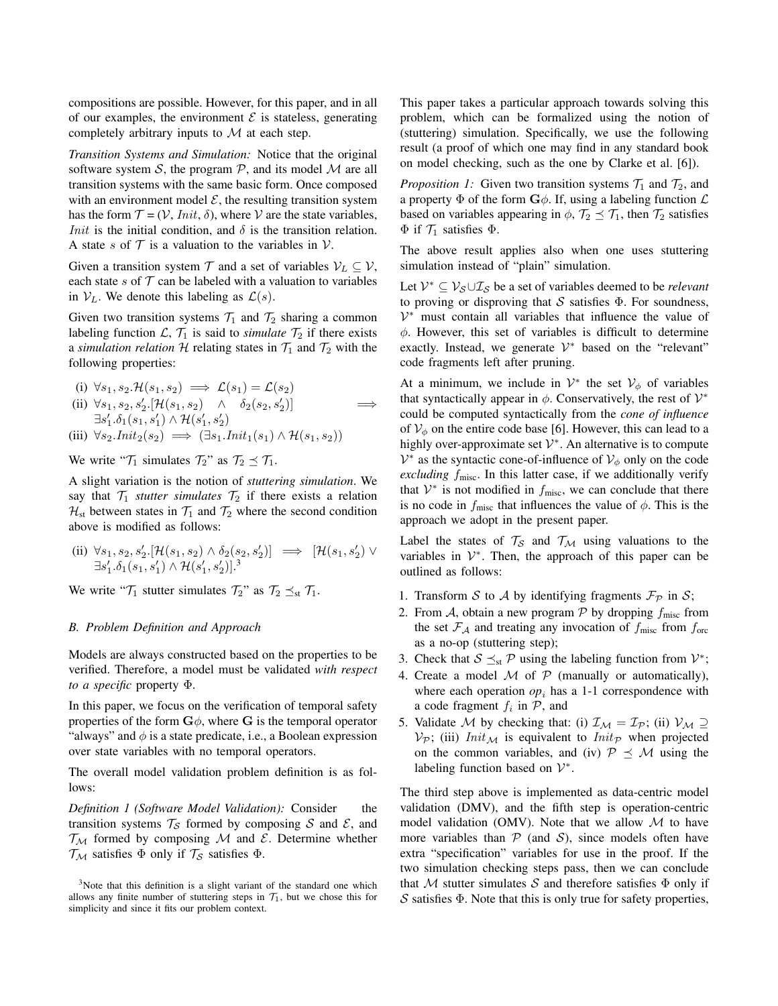compositions are possible. However, for this paper, and in all of our examples, the environment  $\mathcal E$  is stateless, generating completely arbitrary inputs to  $M$  at each step.

*Transition Systems and Simulation:* Notice that the original software system S, the program  $P$ , and its model  $M$  are all transition systems with the same basic form. Once composed with an environment model  $\mathcal{E}$ , the resulting transition system has the form  $\mathcal{T} = (\mathcal{V}, Init, \delta)$ , where  $\mathcal V$  are the state variables, *Init* is the initial condition, and  $\delta$  is the transition relation. A state s of  $\mathcal T$  is a valuation to the variables in  $\mathcal V$ .

Given a transition system  $\mathcal T$  and a set of variables  $\mathcal V_L \subseteq \mathcal V$ , each state s of  $T$  can be labeled with a valuation to variables in  $V_L$ . We denote this labeling as  $\mathcal{L}(s)$ .

Given two transition systems  $\mathcal{T}_1$  and  $\mathcal{T}_2$  sharing a common labeling function  $\mathcal{L}, \mathcal{T}_1$  is said to *simulate*  $\mathcal{T}_2$  if there exists a *simulation relation* H relating states in  $\mathcal{T}_1$  and  $\mathcal{T}_2$  with the following properties:

(i) 
$$
\forall s_1, s_2 \mathcal{H}(s_1, s_2) \implies \mathcal{L}(s_1) = \mathcal{L}(s_2)
$$
  
\n(ii)  $\forall s_1, s_2, s'_2 \mathcal{H}(s_1, s_2) \land \delta_2(s_2, s'_2)$   
\n $\exists s'_1 \cdot \delta_1(s_1, s'_1) \land \mathcal{H}(s'_1, s'_2)$   
\n(iii)  $\forall s_2 \mathit{.Init}_2(s_2) \implies (\exists s_1 \mathit{.Init}_1(s_1) \land \mathcal{H}(s_1, s_2))$ 

We write " $\mathcal{T}_1$  simulates  $\mathcal{T}_2$ " as  $\mathcal{T}_2 \preceq \mathcal{T}_1$ .

A slight variation is the notion of *stuttering simulation*. We say that  $\mathcal{T}_1$  *stutter simulates*  $\mathcal{T}_2$  if there exists a relation  $\mathcal{H}_{st}$  between states in  $\mathcal{T}_1$  and  $\mathcal{T}_2$  where the second condition above is modified as follows:

(ii) 
$$
\forall s_1, s_2, s'_2. [\mathcal{H}(s_1, s_2) \land \delta_2(s_2, s'_2)] \implies [\mathcal{H}(s_1, s'_2) \lor \exists s'_1. \delta_1(s_1, s'_1) \land \mathcal{H}(s'_1, s'_2)]^3
$$

We write " $\mathcal{T}_1$  stutter simulates  $\mathcal{T}_2$ " as  $\mathcal{T}_2 \preceq_{st} \mathcal{T}_1$ .

### *B. Problem Definition and Approach*

Models are always constructed based on the properties to be verified. Therefore, a model must be validated *with respect to a specific* property Φ.

In this paper, we focus on the verification of temporal safety properties of the form  $\mathbf{G}\phi$ , where G is the temporal operator "always" and  $\phi$  is a state predicate, i.e., a Boolean expression over state variables with no temporal operators.

The overall model validation problem definition is as follows:

*Definition 1 (Software Model Validation):* Consider the transition systems  $\mathcal{T}_{\mathcal{S}}$  formed by composing S and E, and  $\mathcal{T}_{\mathcal{M}}$  formed by composing  $\mathcal M$  and  $\mathcal E$ . Determine whether  $\mathcal{T}_{\mathcal{M}}$  satisfies  $\Phi$  only if  $\mathcal{T}_{\mathcal{S}}$  satisfies  $\Phi$ .

This paper takes a particular approach towards solving this problem, which can be formalized using the notion of (stuttering) simulation. Specifically, we use the following result (a proof of which one may find in any standard book on model checking, such as the one by Clarke et al. [6]).

*Proposition 1:* Given two transition systems  $\mathcal{T}_1$  and  $\mathcal{T}_2$ , and a property  $\Phi$  of the form  $\mathbf{G}\phi$ . If, using a labeling function  $\mathcal{L}$ based on variables appearing in  $\phi$ ,  $\mathcal{T}_2 \preceq \mathcal{T}_1$ , then  $\mathcal{T}_2$  satisfies  $\Phi$  if  $\mathcal{T}_1$  satisfies  $\Phi$ .

The above result applies also when one uses stuttering simulation instead of "plain" simulation.

Let  $\mathcal{V}^* \subseteq \mathcal{V}_{\mathcal{S}} \cup \mathcal{I}_{\mathcal{S}}$  be a set of variables deemed to be *relevant* to proving or disproving that  $S$  satisfies  $\Phi$ . For soundness, V <sup>∗</sup> must contain all variables that influence the value of  $\phi$ . However, this set of variables is difficult to determine exactly. Instead, we generate  $V^*$  based on the "relevant" code fragments left after pruning.

At a minimum, we include in  $V^*$  the set  $V_{\phi}$  of variables that syntactically appear in  $\phi$ . Conservatively, the rest of  $\mathcal{V}^*$ could be computed syntactically from the *cone of influence* of  $V_{\phi}$  on the entire code base [6]. However, this can lead to a highly over-approximate set  $\mathcal{V}^*$ . An alternative is to compute  $V^*$  as the syntactic cone-of-influence of  $V_{\phi}$  only on the code *excluding* fmisc. In this latter case, if we additionally verify that  $V^*$  is not modified in  $f_{\text{misc}}$ , we can conclude that there is no code in  $f_{\text{misc}}$  that influences the value of  $\phi$ . This is the approach we adopt in the present paper.

Label the states of  $\mathcal{T}_{\mathcal{S}}$  and  $\mathcal{T}_{\mathcal{M}}$  using valuations to the variables in  $V^*$ . Then, the approach of this paper can be outlined as follows:

- 1. Transform S to A by identifying fragments  $\mathcal{F}_{\mathcal{P}}$  in S;
- 2. From A, obtain a new program P by dropping  $f_{\text{misc}}$  from the set  $\mathcal{F}_{\mathcal{A}}$  and treating any invocation of  $f_{\text{misc}}$  from  $f_{\text{orc}}$ as a no-op (stuttering step);
- 3. Check that  $S \preceq_{st} P$  using the labeling function from  $V^*$ ;
- 4. Create a model  $M$  of  $P$  (manually or automatically), where each operation  $op_i$  has a 1-1 correspondence with a code fragment  $f_i$  in  $P$ , and
- 5. Validate M by checking that: (i)  $\mathcal{I}_{M} = \mathcal{I}_{P}$ ; (ii)  $\mathcal{V}_{M} \supseteq$  $V_P$ ; (iii)  $Init_{\mathcal{M}}$  is equivalent to  $Init_{\mathcal{P}}$  when projected on the common variables, and (iv)  $\mathcal{P} \preceq \mathcal{M}$  using the labeling function based on  $\mathcal{V}^*$ .

The third step above is implemented as data-centric model validation (DMV), and the fifth step is operation-centric model validation (OMV). Note that we allow  $M$  to have more variables than  $P$  (and  $S$ ), since models often have extra "specification" variables for use in the proof. If the two simulation checking steps pass, then we can conclude that M stutter simulates S and therefore satisfies  $\Phi$  only if S satisfies Φ. Note that this is only true for safety properties,

<sup>&</sup>lt;sup>3</sup>Note that this definition is a slight variant of the standard one which allows any finite number of stuttering steps in  $\mathcal{T}_1$ , but we chose this for simplicity and since it fits our problem context.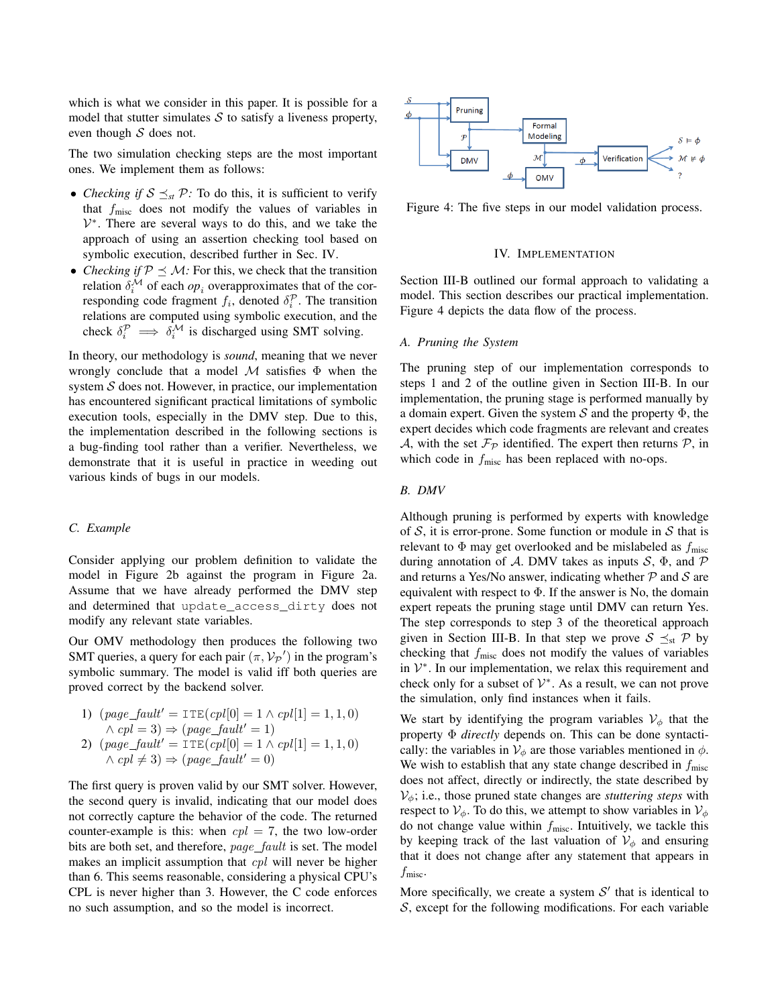which is what we consider in this paper. It is possible for a model that stutter simulates  $S$  to satisfy a liveness property, even though  $S$  does not.

The two simulation checking steps are the most important ones. We implement them as follows:

- *Checking if*  $S \leq_{st} P$ : To do this, it is sufficient to verify that  $f_{\text{misc}}$  does not modify the values of variables in  $V^*$ . There are several ways to do this, and we take the approach of using an assertion checking tool based on symbolic execution, described further in Sec. IV.
- *Checking if*  $P \leq M$ : For this, we check that the transition relation  $\delta_i^{\mathcal{M}}$  of each  $op_i$  overapproximates that of the corresponding code fragment  $f_i$ , denoted  $\delta_i^{\mathcal{P}}$ . The transition relations are computed using symbolic execution, and the check  $\delta_i^{\mathcal{P}} \implies \delta_i^{\mathcal{M}}$  is discharged using SMT solving.

In theory, our methodology is *sound*, meaning that we never wrongly conclude that a model  $M$  satisfies  $\Phi$  when the system  $S$  does not. However, in practice, our implementation has encountered significant practical limitations of symbolic execution tools, especially in the DMV step. Due to this, the implementation described in the following sections is a bug-finding tool rather than a verifier. Nevertheless, we demonstrate that it is useful in practice in weeding out various kinds of bugs in our models.

### *C. Example*

Consider applying our problem definition to validate the model in Figure 2b against the program in Figure 2a. Assume that we have already performed the DMV step and determined that update\_access\_dirty does not modify any relevant state variables.

Our OMV methodology then produces the following two SMT queries, a query for each pair  $(\pi, \mathcal{V}_P)$  in the program's symbolic summary. The model is valid iff both queries are proved correct by the backend solver.

1) 
$$
(page\_fault' = \text{ITE}(cpl[0] = 1 \land cpl[1] = 1, 1, 0)
$$
  
 $\land cpl = 3) \Rightarrow (page\_fault' = 1)$ 

2) 
$$
(page\_fault' = \text{ITE}(cpl[0] = 1 \land cpl[1] = 1, 1, 0)
$$
  
 $\land cpl \neq 3) \Rightarrow (page\_fault' = 0)$ 

The first query is proven valid by our SMT solver. However, the second query is invalid, indicating that our model does not correctly capture the behavior of the code. The returned counter-example is this: when  $cpl = 7$ , the two low-order bits are both set, and therefore, page fault is set. The model makes an implicit assumption that *cpl* will never be higher than 6. This seems reasonable, considering a physical CPU's CPL is never higher than 3. However, the C code enforces no such assumption, and so the model is incorrect.



Figure 4: The five steps in our model validation process.

### IV. IMPLEMENTATION

Section III-B outlined our formal approach to validating a model. This section describes our practical implementation. Figure 4 depicts the data flow of the process.

## *A. Pruning the System*

The pruning step of our implementation corresponds to steps 1 and 2 of the outline given in Section III-B. In our implementation, the pruning stage is performed manually by a domain expert. Given the system  $S$  and the property  $\Phi$ , the expert decides which code fragments are relevant and creates A, with the set  $\mathcal{F}_{\mathcal{P}}$  identified. The expert then returns  $\mathcal{P}$ , in which code in  $f_{\text{misc}}$  has been replaced with no-ops.

## *B. DMV*

Although pruning is performed by experts with knowledge of  $S$ , it is error-prone. Some function or module in  $S$  that is relevant to  $\Phi$  may get overlooked and be mislabeled as  $f_{\text{misc}}$ during annotation of A. DMV takes as inputs  $S$ ,  $\Phi$ , and  $\mathcal P$ and returns a Yes/No answer, indicating whether  $P$  and  $S$  are equivalent with respect to  $\Phi$ . If the answer is No, the domain expert repeats the pruning stage until DMV can return Yes. The step corresponds to step 3 of the theoretical approach given in Section III-B. In that step we prove  $S \preceq_{st} \mathcal{P}$  by checking that  $f_{\text{misc}}$  does not modify the values of variables in  $V^*$ . In our implementation, we relax this requirement and check only for a subset of  $\mathcal{V}^*$ . As a result, we can not prove the simulation, only find instances when it fails.

We start by identifying the program variables  $V_{\phi}$  that the property Φ *directly* depends on. This can be done syntactically: the variables in  $V_{\phi}$  are those variables mentioned in  $\phi$ . We wish to establish that any state change described in  $f_{\text{misc}}$ does not affect, directly or indirectly, the state described by  $V_{\phi}$ ; i.e., those pruned state changes are *stuttering steps* with respect to  $V_{\phi}$ . To do this, we attempt to show variables in  $V_{\phi}$ do not change value within  $f_{\text{misc}}$ . Intuitively, we tackle this by keeping track of the last valuation of  $V_{\phi}$  and ensuring that it does not change after any statement that appears in  $f_{\rm{misc}}$ .

More specifically, we create a system  $S'$  that is identical to  $S$ , except for the following modifications. For each variable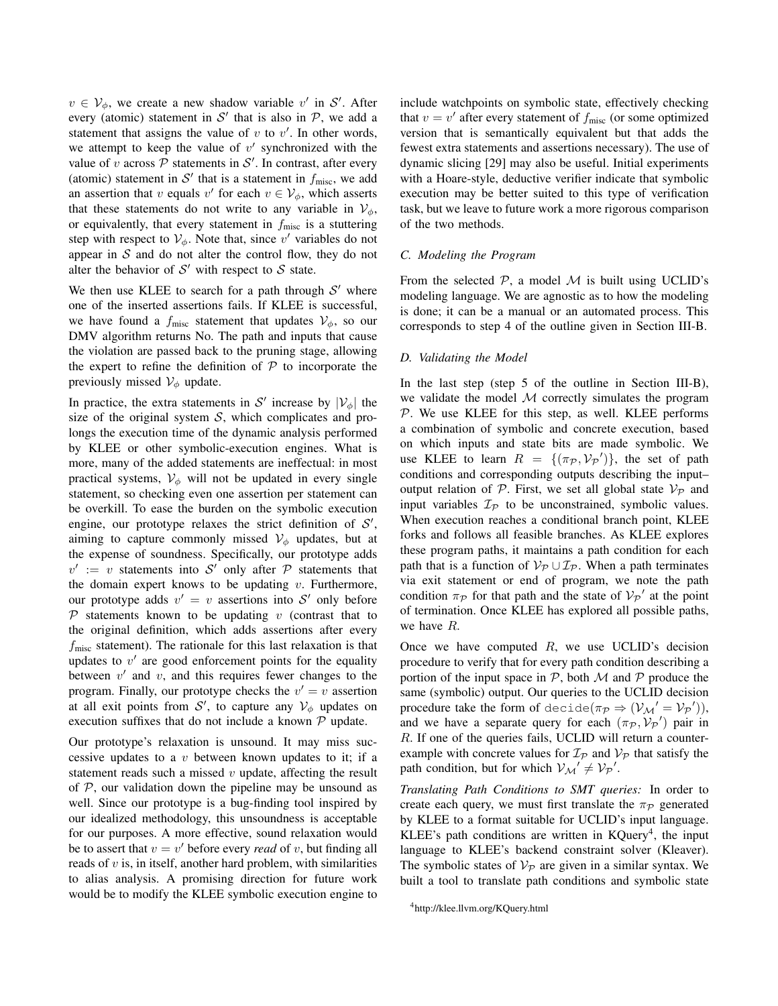$v \in V_{\phi}$ , we create a new shadow variable v' in S'. After every (atomic) statement in  $S'$  that is also in  $P$ , we add a statement that assigns the value of  $v$  to  $v'$ . In other words, we attempt to keep the value of  $v'$  synchronized with the value of v across  $P$  statements in  $S'$ . In contrast, after every (atomic) statement in  $S'$  that is a statement in  $f_{\text{misc}}$ , we add an assertion that v equals v' for each  $v \in V_{\phi}$ , which asserts that these statements do not write to any variable in  $V_{\phi}$ , or equivalently, that every statement in  $f_{\text{misc}}$  is a stuttering step with respect to  $V_{\phi}$ . Note that, since v' variables do not appear in  $S$  and do not alter the control flow, they do not alter the behavior of  $S'$  with respect to  $S$  state.

We then use KLEE to search for a path through  $S'$  where one of the inserted assertions fails. If KLEE is successful, we have found a  $f_{\text{misc}}$  statement that updates  $V_{\phi}$ , so our DMV algorithm returns No. The path and inputs that cause the violation are passed back to the pruning stage, allowing the expert to refine the definition of  $P$  to incorporate the previously missed  $V_{\phi}$  update.

In practice, the extra statements in S' increase by  $|\mathcal{V}_{\phi}|$  the size of the original system  $S$ , which complicates and prolongs the execution time of the dynamic analysis performed by KLEE or other symbolic-execution engines. What is more, many of the added statements are ineffectual: in most practical systems,  $V_{\phi}$  will not be updated in every single statement, so checking even one assertion per statement can be overkill. To ease the burden on the symbolic execution engine, our prototype relaxes the strict definition of  $S'$ , aiming to capture commonly missed  $\mathcal{V}_{\phi}$  updates, but at the expense of soundness. Specifically, our prototype adds  $v' := v$  statements into S' only after P statements that the domain expert knows to be updating  $v$ . Furthermore, our prototype adds  $v' = v$  assertions into S' only before  $P$  statements known to be updating v (contrast that to the original definition, which adds assertions after every  $f_{\text{misc}}$  statement). The rationale for this last relaxation is that updates to  $v'$  are good enforcement points for the equality between  $v'$  and  $v$ , and this requires fewer changes to the program. Finally, our prototype checks the  $v' = v$  assertion at all exit points from  $\mathcal{S}'$ , to capture any  $\mathcal{V}_{\phi}$  updates on execution suffixes that do not include a known  $P$  update.

Our prototype's relaxation is unsound. It may miss successive updates to a  $v$  between known updates to it; if a statement reads such a missed  $v$  update, affecting the result of  $P$ , our validation down the pipeline may be unsound as well. Since our prototype is a bug-finding tool inspired by our idealized methodology, this unsoundness is acceptable for our purposes. A more effective, sound relaxation would be to assert that  $v = v'$  before every *read* of v, but finding all reads of  $v$  is, in itself, another hard problem, with similarities to alias analysis. A promising direction for future work would be to modify the KLEE symbolic execution engine to include watchpoints on symbolic state, effectively checking that  $v = v'$  after every statement of  $f_{\text{misc}}$  (or some optimized version that is semantically equivalent but that adds the fewest extra statements and assertions necessary). The use of dynamic slicing [29] may also be useful. Initial experiments with a Hoare-style, deductive verifier indicate that symbolic execution may be better suited to this type of verification task, but we leave to future work a more rigorous comparison of the two methods.

## *C. Modeling the Program*

From the selected  $P$ , a model  $M$  is built using UCLID's modeling language. We are agnostic as to how the modeling is done; it can be a manual or an automated process. This corresponds to step 4 of the outline given in Section III-B.

### *D. Validating the Model*

In the last step (step 5 of the outline in Section III-B), we validate the model  $M$  correctly simulates the program  $P$ . We use KLEE for this step, as well. KLEE performs a combination of symbolic and concrete execution, based on which inputs and state bits are made symbolic. We use KLEE to learn  $R = \{(\pi_P, V_P')\}$ , the set of path conditions and corresponding outputs describing the input– output relation of  $P$ . First, we set all global state  $V_P$  and input variables  $\mathcal{I}_{\mathcal{P}}$  to be unconstrained, symbolic values. When execution reaches a conditional branch point, KLEE forks and follows all feasible branches. As KLEE explores these program paths, it maintains a path condition for each path that is a function of  $\mathcal{V}_{\mathcal{P}} \cup \mathcal{I}_{\mathcal{P}}$ . When a path terminates via exit statement or end of program, we note the path condition  $\pi_{\mathcal{P}}$  for that path and the state of  $\mathcal{V}_{\mathcal{P}}'$  at the point of termination. Once KLEE has explored all possible paths, we have R.

Once we have computed  $R$ , we use UCLID's decision procedure to verify that for every path condition describing a portion of the input space in  $P$ , both  $M$  and  $P$  produce the same (symbolic) output. Our queries to the UCLID decision procedure take the form of decide( $\pi_{\mathcal{P}} \Rightarrow (\mathcal{V}_{\mathcal{M}}' = \mathcal{V}_{\mathcal{P}}'))$ , and we have a separate query for each  $(\pi_{\mathcal{P}}, \mathcal{V}_{\mathcal{P}}')$  pair in R. If one of the queries fails, UCLID will return a counterexample with concrete values for  $\mathcal{I}_P$  and  $\mathcal{V}_P$  that satisfy the path condition, but for which  $V_{\mathcal{M}}' \neq V_{\mathcal{P}}'$ .

*Translating Path Conditions to SMT queries:* In order to create each query, we must first translate the  $\pi_{\mathcal{P}}$  generated by KLEE to a format suitable for UCLID's input language. KLEE's path conditions are written in  $KQuery<sup>4</sup>$ , the input language to KLEE's backend constraint solver (Kleaver). The symbolic states of  $V_P$  are given in a similar syntax. We built a tool to translate path conditions and symbolic state

<sup>4</sup>http://klee.llvm.org/KQuery.html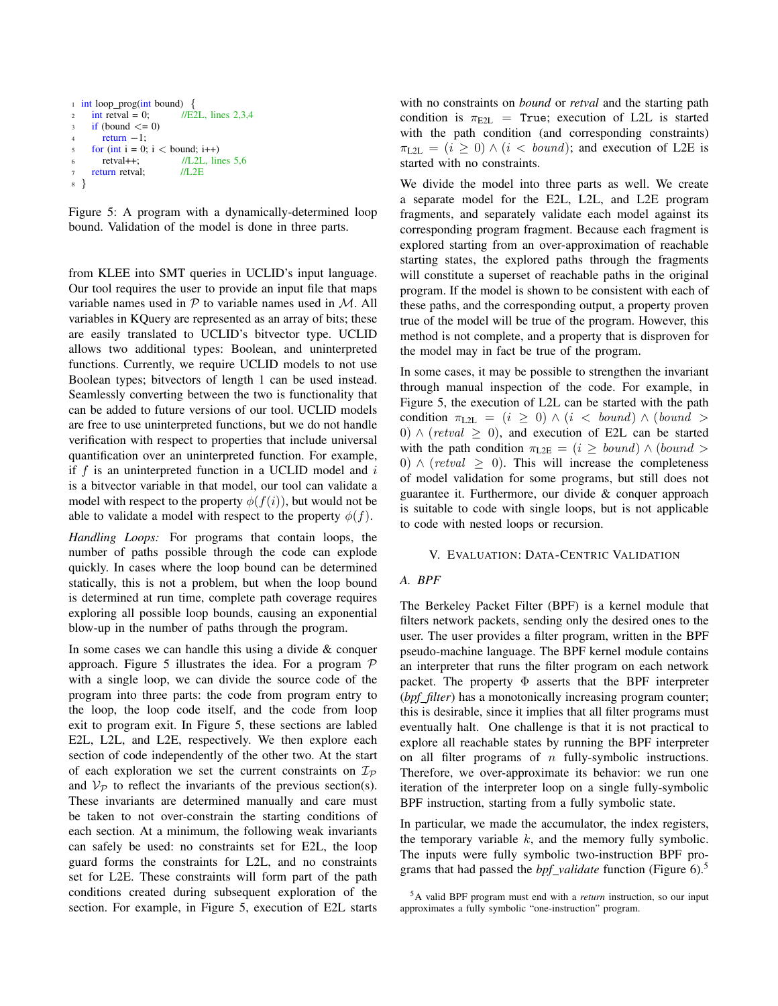```
1 int loop_prog(int bound) \{2 int retval = 0: //E2L, lines 2,3,4
3 if (bound \leq 0)
      return -1;
    for (int i = 0; i < bound; i++)
      retval++; //L2L, lines 5,6
7 return retval; //L2E
8 }
```
Figure 5: A program with a dynamically-determined loop bound. Validation of the model is done in three parts.

from KLEE into SMT queries in UCLID's input language. Our tool requires the user to provide an input file that maps variable names used in  $P$  to variable names used in  $M$ . All variables in KQuery are represented as an array of bits; these are easily translated to UCLID's bitvector type. UCLID allows two additional types: Boolean, and uninterpreted functions. Currently, we require UCLID models to not use Boolean types; bitvectors of length 1 can be used instead. Seamlessly converting between the two is functionality that can be added to future versions of our tool. UCLID models are free to use uninterpreted functions, but we do not handle verification with respect to properties that include universal quantification over an uninterpreted function. For example, if  $f$  is an uninterpreted function in a UCLID model and  $i$ is a bitvector variable in that model, our tool can validate a model with respect to the property  $\phi(f(i))$ , but would not be able to validate a model with respect to the property  $\phi(f)$ .

*Handling Loops:* For programs that contain loops, the number of paths possible through the code can explode quickly. In cases where the loop bound can be determined statically, this is not a problem, but when the loop bound is determined at run time, complete path coverage requires exploring all possible loop bounds, causing an exponential blow-up in the number of paths through the program.

In some cases we can handle this using a divide  $\&$  conquer approach. Figure 5 illustrates the idea. For a program  $P$ with a single loop, we can divide the source code of the program into three parts: the code from program entry to the loop, the loop code itself, and the code from loop exit to program exit. In Figure 5, these sections are labled E2L, L2L, and L2E, respectively. We then explore each section of code independently of the other two. At the start of each exploration we set the current constraints on  $\mathcal{I}_{\mathcal{P}}$ and  $V_P$  to reflect the invariants of the previous section(s). These invariants are determined manually and care must be taken to not over-constrain the starting conditions of each section. At a minimum, the following weak invariants can safely be used: no constraints set for E2L, the loop guard forms the constraints for L2L, and no constraints set for L2E. These constraints will form part of the path conditions created during subsequent exploration of the section. For example, in Figure 5, execution of E2L starts with no constraints on *bound* or *retval* and the starting path condition is  $\pi_{\text{E2L}}$  = True; execution of L2L is started with the path condition (and corresponding constraints)  $\pi_{L2L} = (i \geq 0) \wedge (i \lt bound);$  and execution of L2E is started with no constraints.

We divide the model into three parts as well. We create a separate model for the E2L, L2L, and L2E program fragments, and separately validate each model against its corresponding program fragment. Because each fragment is explored starting from an over-approximation of reachable starting states, the explored paths through the fragments will constitute a superset of reachable paths in the original program. If the model is shown to be consistent with each of these paths, and the corresponding output, a property proven true of the model will be true of the program. However, this method is not complete, and a property that is disproven for the model may in fact be true of the program.

In some cases, it may be possible to strengthen the invariant through manual inspection of the code. For example, in Figure 5, the execution of L2L can be started with the path condition  $\pi_{\text{L2L}} = (i \geq 0) \wedge (i \lt \text{bound}) \wedge (\text{bound} \gt$ 0)  $\land$  (retval  $\ge$  0), and execution of E2L can be started with the path condition  $\pi_{\text{L2E}} = (i \geq \text{bound}) \wedge (\text{bound} >$ 0)  $\land$  (retval  $\geq$  0). This will increase the completeness of model validation for some programs, but still does not guarantee it. Furthermore, our divide & conquer approach is suitable to code with single loops, but is not applicable to code with nested loops or recursion.

## V. EVALUATION: DATA-CENTRIC VALIDATION

## *A. BPF*

The Berkeley Packet Filter (BPF) is a kernel module that filters network packets, sending only the desired ones to the user. The user provides a filter program, written in the BPF pseudo-machine language. The BPF kernel module contains an interpreter that runs the filter program on each network packet. The property  $\Phi$  asserts that the BPF interpreter (*bpf filter*) has a monotonically increasing program counter; this is desirable, since it implies that all filter programs must eventually halt. One challenge is that it is not practical to explore all reachable states by running the BPF interpreter on all filter programs of  $n$  fully-symbolic instructions. Therefore, we over-approximate its behavior: we run one iteration of the interpreter loop on a single fully-symbolic BPF instruction, starting from a fully symbolic state.

In particular, we made the accumulator, the index registers, the temporary variable  $k$ , and the memory fully symbolic. The inputs were fully symbolic two-instruction BPF programs that had passed the *bpf validate* function (Figure 6).<sup>5</sup>

<sup>5</sup>A valid BPF program must end with a *return* instruction, so our input approximates a fully symbolic "one-instruction" program.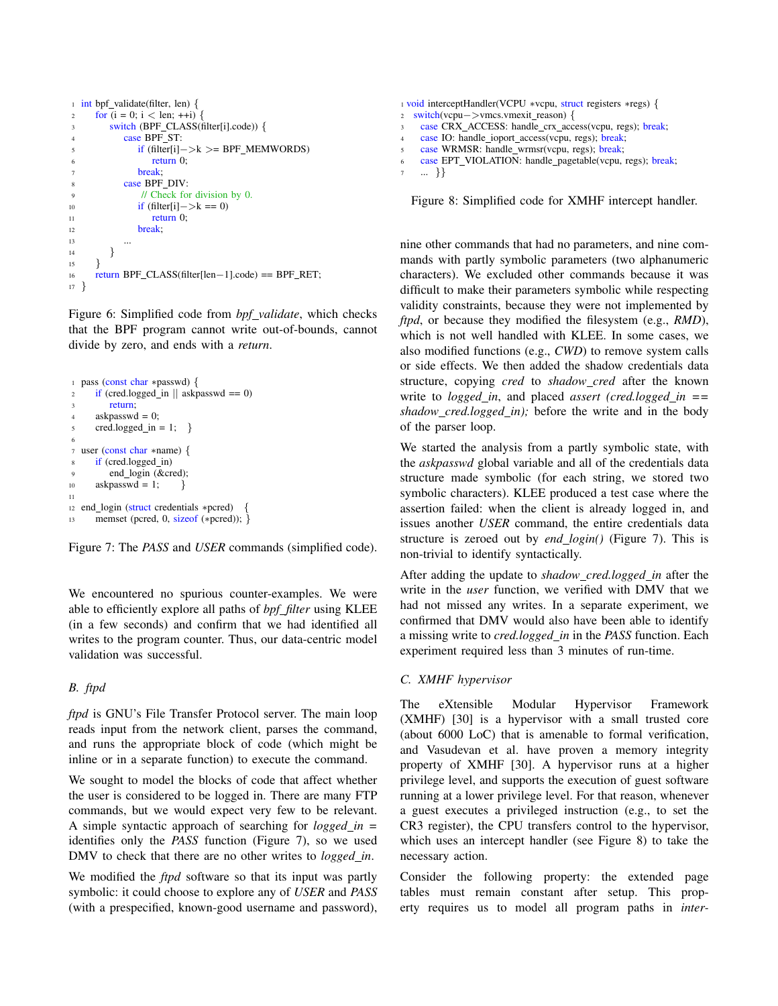```
1 int bpf_validate(filter, len) {
2 for (i = 0; i < len; ++i) {
3 switch (BPF_CLASS(filter[i].code)) {
4 case BPF ST:
5 if (filter[i]−>k >= BPF MEMWORDS)
6 return 0;
7 break;
8 case BPF_DIV:
9 // Check for division by 0.
10 if (filter[i] \Rightarrow k == 0)
11 return 0;
12 break:
13 \quad \ldots14 }
15 }
16 return BPF CLASS(filter[len−1].code) == BPF RET;
17 }
```
Figure 6: Simplified code from *bpf validate*, which checks that the BPF program cannot write out-of-bounds, cannot divide by zero, and ends with a *return*.

```
1 pass (const char ∗passwd) {
\text{if } (\text{cred. logged\_in} || \text{ askpasswd} == 0)return;
4 askpasswd = 0;
5 \text{ cred.} \text{logged} \text{in} = 1; \}6
7 user (const char ∗name) {
      if (cred.logged_in)
          end login (&cred);
10 askpasswd = 1; \}11
12 end login (struct credentials ∗pcred) {
13 memset (pcred, 0, sizeof (*pcred)); }
```


We encountered no spurious counter-examples. We were able to efficiently explore all paths of *bpf filter* using KLEE (in a few seconds) and confirm that we had identified all writes to the program counter. Thus, our data-centric model validation was successful.

## *B. ftpd*

*ftpd* is GNU's File Transfer Protocol server. The main loop reads input from the network client, parses the command, and runs the appropriate block of code (which might be inline or in a separate function) to execute the command.

We sought to model the blocks of code that affect whether the user is considered to be logged in. There are many FTP commands, but we would expect very few to be relevant. A simple syntactic approach of searching for *logged in =* identifies only the *PASS* function (Figure 7), so we used DMV to check that there are no other writes to *logged in*.

We modified the *ftpd* software so that its input was partly symbolic: it could choose to explore any of *USER* and *PASS* (with a prespecified, known-good username and password), <sup>1</sup> void interceptHandler(VCPU ∗vcpu, struct registers ∗regs) { <sup>2</sup> switch(vcpu−>vmcs.vmexit reason) { case CRX\_ACCESS: handle\_crx\_access(vcpu, regs); break;

- <sup>4</sup> case IO: handle ioport access(vcpu, regs); break;
- <sup>5</sup> case WRMSR: handle wrmsr(vcpu, regs); break;
- <sup>6</sup> case EPT VIOLATION: handle pagetable(vcpu, regs); break;

```
7 ... }}
```
Figure 8: Simplified code for XMHF intercept handler.

nine other commands that had no parameters, and nine commands with partly symbolic parameters (two alphanumeric characters). We excluded other commands because it was difficult to make their parameters symbolic while respecting validity constraints, because they were not implemented by *ftpd*, or because they modified the filesystem (e.g., *RMD*), which is not well handled with KLEE. In some cases, we also modified functions (e.g., *CWD*) to remove system calls or side effects. We then added the shadow credentials data structure, copying *cred* to *shadow cred* after the known write to *logged\_in*, and placed *assert* (cred.logged\_in == *shadow cred.logged in);* before the write and in the body of the parser loop.

We started the analysis from a partly symbolic state, with the *askpasswd* global variable and all of the credentials data structure made symbolic (for each string, we stored two symbolic characters). KLEE produced a test case where the assertion failed: when the client is already logged in, and issues another *USER* command, the entire credentials data structure is zeroed out by *end login()* (Figure 7). This is non-trivial to identify syntactically.

After adding the update to *shadow cred.logged in* after the write in the *user* function, we verified with DMV that we had not missed any writes. In a separate experiment, we confirmed that DMV would also have been able to identify a missing write to *cred.logged in* in the *PASS* function. Each experiment required less than 3 minutes of run-time.

## *C. XMHF hypervisor*

The eXtensible Modular Hypervisor Framework (XMHF) [30] is a hypervisor with a small trusted core (about 6000 LoC) that is amenable to formal verification, and Vasudevan et al. have proven a memory integrity property of XMHF [30]. A hypervisor runs at a higher privilege level, and supports the execution of guest software running at a lower privilege level. For that reason, whenever a guest executes a privileged instruction (e.g., to set the CR3 register), the CPU transfers control to the hypervisor, which uses an intercept handler (see Figure 8) to take the necessary action.

Consider the following property: the extended page tables must remain constant after setup. This property requires us to model all program paths in *inter-*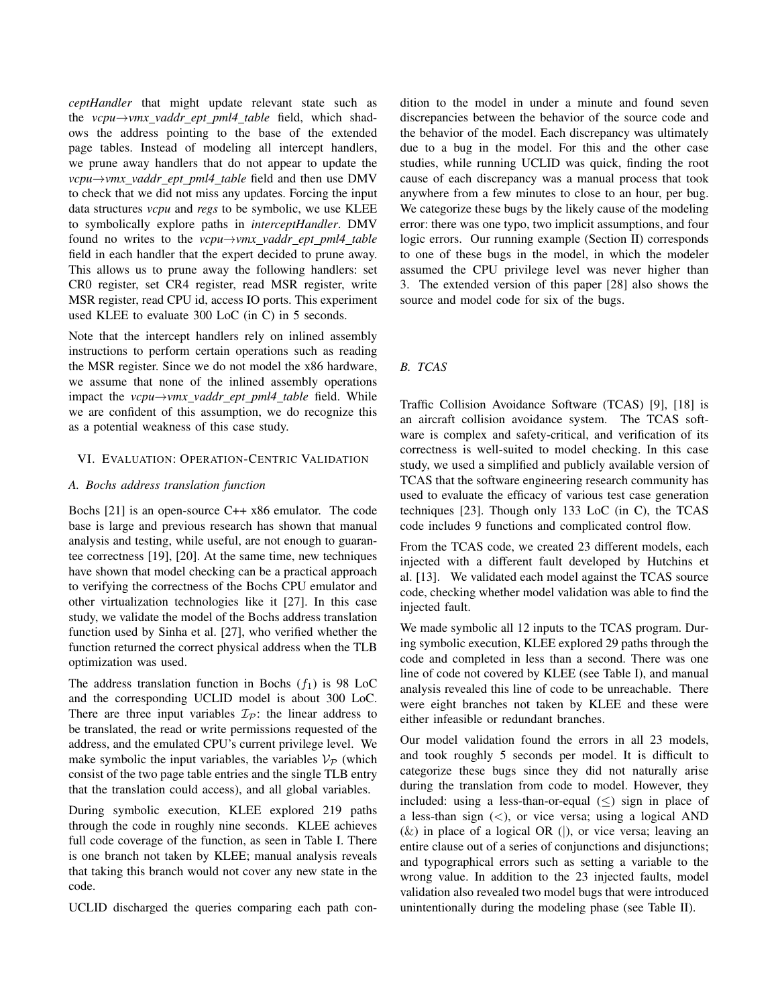*ceptHandler* that might update relevant state such as the *vcpu*→*vmx vaddr ept pml4 table* field, which shadows the address pointing to the base of the extended page tables. Instead of modeling all intercept handlers, we prune away handlers that do not appear to update the *vcpu→vmx\_vaddr\_ept\_pml4\_table* field and then use DMV to check that we did not miss any updates. Forcing the input data structures *vcpu* and *regs* to be symbolic, we use KLEE to symbolically explore paths in *interceptHandler*. DMV found no writes to the *vcpu*→*vmx vaddr ept pml4 table* field in each handler that the expert decided to prune away. This allows us to prune away the following handlers: set CR0 register, set CR4 register, read MSR register, write MSR register, read CPU id, access IO ports. This experiment used KLEE to evaluate 300 LoC (in C) in 5 seconds.

Note that the intercept handlers rely on inlined assembly instructions to perform certain operations such as reading the MSR register. Since we do not model the x86 hardware, we assume that none of the inlined assembly operations impact the *vcpu*→*vmx vaddr ept pml4 table* field. While we are confident of this assumption, we do recognize this as a potential weakness of this case study.

## VI. EVALUATION: OPERATION-CENTRIC VALIDATION

### *A. Bochs address translation function*

Bochs [21] is an open-source C++ x86 emulator. The code base is large and previous research has shown that manual analysis and testing, while useful, are not enough to guarantee correctness [19], [20]. At the same time, new techniques have shown that model checking can be a practical approach to verifying the correctness of the Bochs CPU emulator and other virtualization technologies like it [27]. In this case study, we validate the model of the Bochs address translation function used by Sinha et al. [27], who verified whether the function returned the correct physical address when the TLB optimization was used.

The address translation function in Bochs  $(f_1)$  is 98 LoC and the corresponding UCLID model is about 300 LoC. There are three input variables  $\mathcal{I}_P$ : the linear address to be translated, the read or write permissions requested of the address, and the emulated CPU's current privilege level. We make symbolic the input variables, the variables  $\mathcal{V}_{\mathcal{P}}$  (which consist of the two page table entries and the single TLB entry that the translation could access), and all global variables.

During symbolic execution, KLEE explored 219 paths through the code in roughly nine seconds. KLEE achieves full code coverage of the function, as seen in Table I. There is one branch not taken by KLEE; manual analysis reveals that taking this branch would not cover any new state in the code.

UCLID discharged the queries comparing each path con-

dition to the model in under a minute and found seven discrepancies between the behavior of the source code and the behavior of the model. Each discrepancy was ultimately due to a bug in the model. For this and the other case studies, while running UCLID was quick, finding the root cause of each discrepancy was a manual process that took anywhere from a few minutes to close to an hour, per bug. We categorize these bugs by the likely cause of the modeling error: there was one typo, two implicit assumptions, and four logic errors. Our running example (Section II) corresponds to one of these bugs in the model, in which the modeler assumed the CPU privilege level was never higher than 3. The extended version of this paper [28] also shows the source and model code for six of the bugs.

## *B. TCAS*

Traffic Collision Avoidance Software (TCAS) [9], [18] is an aircraft collision avoidance system. The TCAS software is complex and safety-critical, and verification of its correctness is well-suited to model checking. In this case study, we used a simplified and publicly available version of TCAS that the software engineering research community has used to evaluate the efficacy of various test case generation techniques [23]. Though only 133 LoC (in C), the TCAS code includes 9 functions and complicated control flow.

From the TCAS code, we created 23 different models, each injected with a different fault developed by Hutchins et al. [13]. We validated each model against the TCAS source code, checking whether model validation was able to find the injected fault.

We made symbolic all 12 inputs to the TCAS program. During symbolic execution, KLEE explored 29 paths through the code and completed in less than a second. There was one line of code not covered by KLEE (see Table I), and manual analysis revealed this line of code to be unreachable. There were eight branches not taken by KLEE and these were either infeasible or redundant branches.

Our model validation found the errors in all 23 models, and took roughly 5 seconds per model. It is difficult to categorize these bugs since they did not naturally arise during the translation from code to model. However, they included: using a less-than-or-equal  $(\le)$  sign in place of a less-than sign  $(<)$ , or vice versa; using a logical AND  $(k)$  in place of a logical OR (|), or vice versa; leaving an entire clause out of a series of conjunctions and disjunctions; and typographical errors such as setting a variable to the wrong value. In addition to the 23 injected faults, model validation also revealed two model bugs that were introduced unintentionally during the modeling phase (see Table II).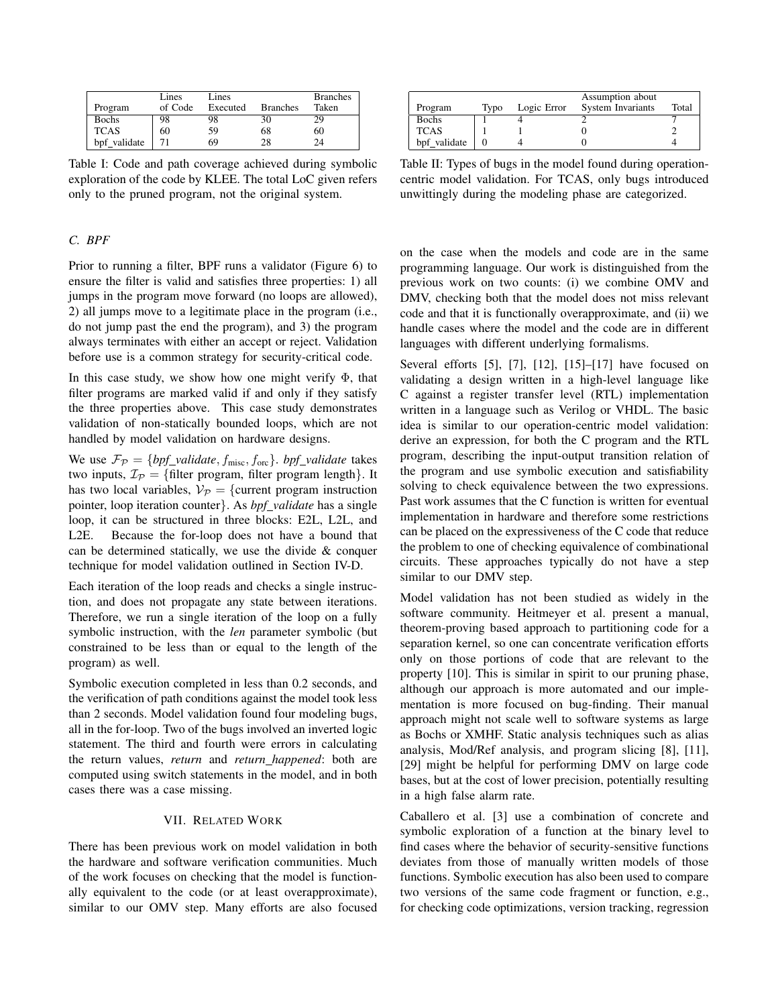|              | Lines   | Lines    |                 | <b>Branches</b> |
|--------------|---------|----------|-----------------|-----------------|
| Program      | of Code | Executed | <b>Branches</b> | Taken           |
| <b>Bochs</b> | 98      | 98       | 30              | 29              |
| <b>TCAS</b>  | 60      | 59       | 68              | 60              |
| bpf validate |         | 69       | 28              | 24              |

Table I: Code and path coverage achieved during symbolic exploration of the code by KLEE. The total LoC given refers only to the pruned program, not the original system.

## *C. BPF*

Prior to running a filter, BPF runs a validator (Figure 6) to ensure the filter is valid and satisfies three properties: 1) all jumps in the program move forward (no loops are allowed), 2) all jumps move to a legitimate place in the program (i.e., do not jump past the end the program), and 3) the program always terminates with either an accept or reject. Validation before use is a common strategy for security-critical code.

In this case study, we show how one might verify  $\Phi$ , that filter programs are marked valid if and only if they satisfy the three properties above. This case study demonstrates validation of non-statically bounded loops, which are not handled by model validation on hardware designs.

We use  $\mathcal{F}_{\mathcal{P}} = \{ \text{bpf\_validate}, f_{\text{misc}}, f_{\text{orc}} \}$ . *bpf\_validate* takes two inputs,  $\mathcal{I}_{\mathcal{P}} = \{\text{filter program, filter program length}\}.$  It has two local variables,  $V_{\mathcal{P}} = \{$  current program instruction pointer, loop iteration counter}. As *bpf validate* has a single loop, it can be structured in three blocks: E2L, L2L, and L2E. Because the for-loop does not have a bound that can be determined statically, we use the divide & conquer technique for model validation outlined in Section IV-D.

Each iteration of the loop reads and checks a single instruction, and does not propagate any state between iterations. Therefore, we run a single iteration of the loop on a fully symbolic instruction, with the *len* parameter symbolic (but constrained to be less than or equal to the length of the program) as well.

Symbolic execution completed in less than 0.2 seconds, and the verification of path conditions against the model took less than 2 seconds. Model validation found four modeling bugs, all in the for-loop. Two of the bugs involved an inverted logic statement. The third and fourth were errors in calculating the return values, *return* and *return happened*: both are computed using switch statements in the model, and in both cases there was a case missing.

### VII. RELATED WORK

There has been previous work on model validation in both the hardware and software verification communities. Much of the work focuses on checking that the model is functionally equivalent to the code (or at least overapproximate), similar to our OMV step. Many efforts are also focused

|              |      | Assumption about |                   |       |
|--------------|------|------------------|-------------------|-------|
| Program      | Typo | Logic Error      | System Invariants | Total |
| <b>Bochs</b> |      |                  |                   |       |
| <b>TCAS</b>  |      |                  |                   |       |
| bpf validate |      |                  |                   |       |

Table II: Types of bugs in the model found during operationcentric model validation. For TCAS, only bugs introduced unwittingly during the modeling phase are categorized.

on the case when the models and code are in the same programming language. Our work is distinguished from the previous work on two counts: (i) we combine OMV and DMV, checking both that the model does not miss relevant code and that it is functionally overapproximate, and (ii) we handle cases where the model and the code are in different languages with different underlying formalisms.

Several efforts [5], [7], [12], [15]–[17] have focused on validating a design written in a high-level language like C against a register transfer level (RTL) implementation written in a language such as Verilog or VHDL. The basic idea is similar to our operation-centric model validation: derive an expression, for both the C program and the RTL program, describing the input-output transition relation of the program and use symbolic execution and satisfiability solving to check equivalence between the two expressions. Past work assumes that the C function is written for eventual implementation in hardware and therefore some restrictions can be placed on the expressiveness of the C code that reduce the problem to one of checking equivalence of combinational circuits. These approaches typically do not have a step similar to our DMV step.

Model validation has not been studied as widely in the software community. Heitmeyer et al. present a manual, theorem-proving based approach to partitioning code for a separation kernel, so one can concentrate verification efforts only on those portions of code that are relevant to the property [10]. This is similar in spirit to our pruning phase, although our approach is more automated and our implementation is more focused on bug-finding. Their manual approach might not scale well to software systems as large as Bochs or XMHF. Static analysis techniques such as alias analysis, Mod/Ref analysis, and program slicing [8], [11], [29] might be helpful for performing DMV on large code bases, but at the cost of lower precision, potentially resulting in a high false alarm rate.

Caballero et al. [3] use a combination of concrete and symbolic exploration of a function at the binary level to find cases where the behavior of security-sensitive functions deviates from those of manually written models of those functions. Symbolic execution has also been used to compare two versions of the same code fragment or function, e.g., for checking code optimizations, version tracking, regression